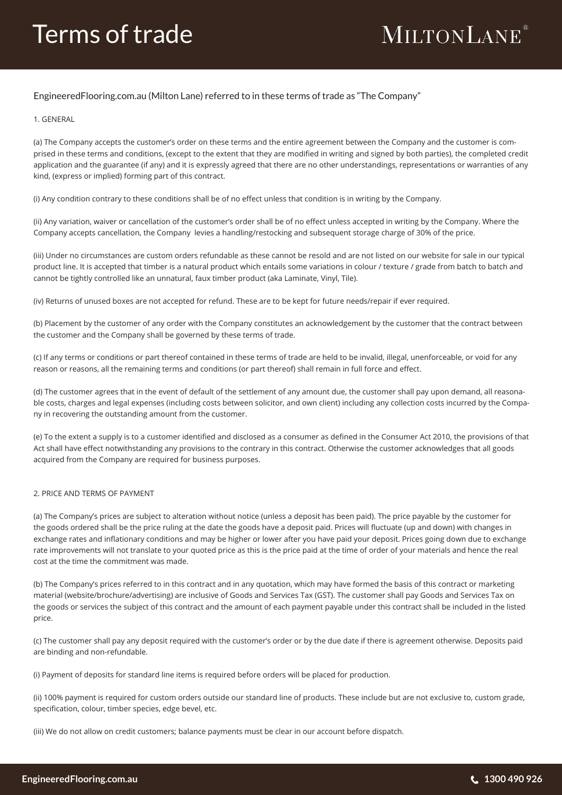## **MILTONLANE**®

### EngineeredFlooring.com.au (Milton Lane) referred to in these terms of trade as "The Company"

#### 1. GENERAL

(a) The Company accepts the customer's order on these terms and the entire agreement between the Company and the customer is comprised in these terms and conditions, (except to the extent that they are modified in writing and signed by both parties), the completed credit application and the guarantee (if any) and it is expressly agreed that there are no other understandings, representations or warranties of any kind, (express or implied) forming part of this contract.

(i) Any condition contrary to these conditions shall be of no effect unless that condition is in writing by the Company.

(ii) Any variation, waiver or cancellation of the customer's order shall be of no effect unless accepted in writing by the Company. Where the Company accepts cancellation, the Company levies a handling/restocking and subsequent storage charge of 30% of the price.

(iii) Under no circumstances are custom orders refundable as these cannot be resold and are not listed on our website for sale in our typical product line. It is accepted that timber is a natural product which entails some variations in colour / texture / grade from batch to batch and cannot be tightly controlled like an unnatural, faux timber product (aka Laminate, Vinyl, Tile).

(iv) Returns of unused boxes are not accepted for refund. These are to be kept for future needs/repair if ever required.

(b) Placement by the customer of any order with the Company constitutes an acknowledgement by the customer that the contract between the customer and the Company shall be governed by these terms of trade.

(c) If any terms or conditions or part thereof contained in these terms of trade are held to be invalid, illegal, unenforceable, or void for any reason or reasons, all the remaining terms and conditions (or part thereof) shall remain in full force and effect.

(d) The customer agrees that in the event of default of the settlement of any amount due, the customer shall pay upon demand, all reasonable costs, charges and legal expenses (including costs between solicitor, and own client) including any collection costs incurred by the Company in recovering the outstanding amount from the customer.

(e) To the extent a supply is to a customer identified and disclosed as a consumer as defined in the Consumer Act 2010, the provisions of that Act shall have effect notwithstanding any provisions to the contrary in this contract. Otherwise the customer acknowledges that all goods acquired from the Company are required for business purposes.

#### 2. PRICE AND TERMS OF PAYMENT

(a) The Company's prices are subject to alteration without notice (unless a deposit has been paid). The price payable by the customer for the goods ordered shall be the price ruling at the date the goods have a deposit paid. Prices will fluctuate (up and down) with changes in exchange rates and inflationary conditions and may be higher or lower after you have paid your deposit. Prices going down due to exchange rate improvements will not translate to your quoted price as this is the price paid at the time of order of your materials and hence the real cost at the time the commitment was made.

(b) The Company's prices referred to in this contract and in any quotation, which may have formed the basis of this contract or marketing material (website/brochure/advertising) are inclusive of Goods and Services Tax (GST). The customer shall pay Goods and Services Tax on the goods or services the subject of this contract and the amount of each payment payable under this contract shall be included in the listed price.

(c) The customer shall pay any deposit required with the customer's order or by the due date if there is agreement otherwise. Deposits paid are binding and non-refundable.

(i) Payment of deposits for standard line items is required before orders will be placed for production.

(ii) 100% payment is required for custom orders outside our standard line of products. These include but are not exclusive to, custom grade, specification, colour, timber species, edge bevel, etc.

(iii) We do not allow on credit customers; balance payments must be clear in our account before dispatch.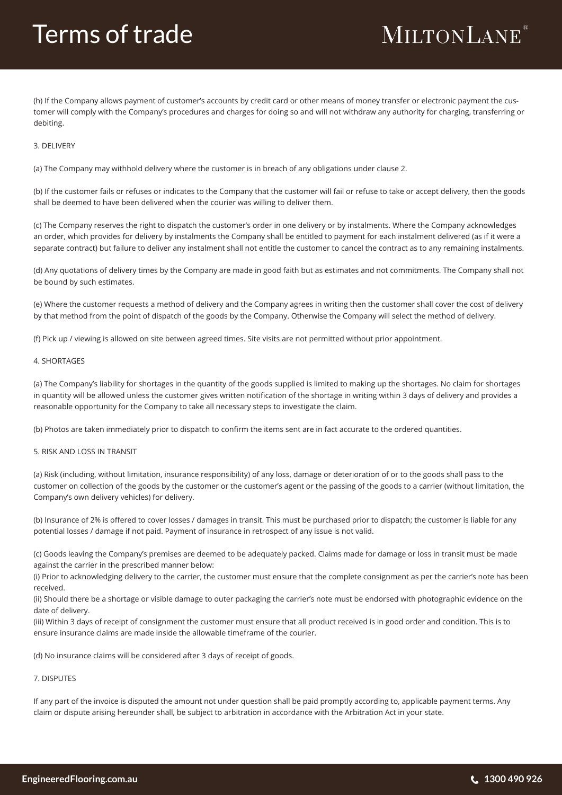### Terms of trade

## **MILTONLANE**®

(h) If the Company allows payment of customer's accounts by credit card or other means of money transfer or electronic payment the customer will comply with the Company's procedures and charges for doing so and will not withdraw any authority for charging, transferring or debiting.

#### 3. DELIVERY

(a) The Company may withhold delivery where the customer is in breach of any obligations under clause 2.

(b) If the customer fails or refuses or indicates to the Company that the customer will fail or refuse to take or accept delivery, then the goods shall be deemed to have been delivered when the courier was willing to deliver them.

(c) The Company reserves the right to dispatch the customer's order in one delivery or by instalments. Where the Company acknowledges an order, which provides for delivery by instalments the Company shall be entitled to payment for each instalment delivered (as if it were a separate contract) but failure to deliver any instalment shall not entitle the customer to cancel the contract as to any remaining instalments.

(d) Any quotations of delivery times by the Company are made in good faith but as estimates and not commitments. The Company shall not be bound by such estimates.

(e) Where the customer requests a method of delivery and the Company agrees in writing then the customer shall cover the cost of delivery by that method from the point of dispatch of the goods by the Company. Otherwise the Company will select the method of delivery.

(f) Pick up / viewing is allowed on site between agreed times. Site visits are not permitted without prior appointment.

#### 4. SHORTAGES

(a) The Company's liability for shortages in the quantity of the goods supplied is limited to making up the shortages. No claim for shortages in quantity will be allowed unless the customer gives written notification of the shortage in writing within 3 days of delivery and provides a reasonable opportunity for the Company to take all necessary steps to investigate the claim.

(b) Photos are taken immediately prior to dispatch to confirm the items sent are in fact accurate to the ordered quantities.

#### 5. RISK AND LOSS IN TRANSIT

(a) Risk (including, without limitation, insurance responsibility) of any loss, damage or deterioration of or to the goods shall pass to the customer on collection of the goods by the customer or the customer's agent or the passing of the goods to a carrier (without limitation, the Company's own delivery vehicles) for delivery.

(b) Insurance of 2% is offered to cover losses / damages in transit. This must be purchased prior to dispatch; the customer is liable for any potential losses / damage if not paid. Payment of insurance in retrospect of any issue is not valid.

(c) Goods leaving the Company's premises are deemed to be adequately packed. Claims made for damage or loss in transit must be made against the carrier in the prescribed manner below:

(i) Prior to acknowledging delivery to the carrier, the customer must ensure that the complete consignment as per the carrier's note has been received.

(ii) Should there be a shortage or visible damage to outer packaging the carrier's note must be endorsed with photographic evidence on the date of delivery.

(iii) Within 3 days of receipt of consignment the customer must ensure that all product received is in good order and condition. This is to ensure insurance claims are made inside the allowable timeframe of the courier.

(d) No insurance claims will be considered after 3 days of receipt of goods.

#### 7. DISPUTES

If any part of the invoice is disputed the amount not under question shall be paid promptly according to, applicable payment terms. Any claim or dispute arising hereunder shall, be subject to arbitration in accordance with the Arbitration Act in your state.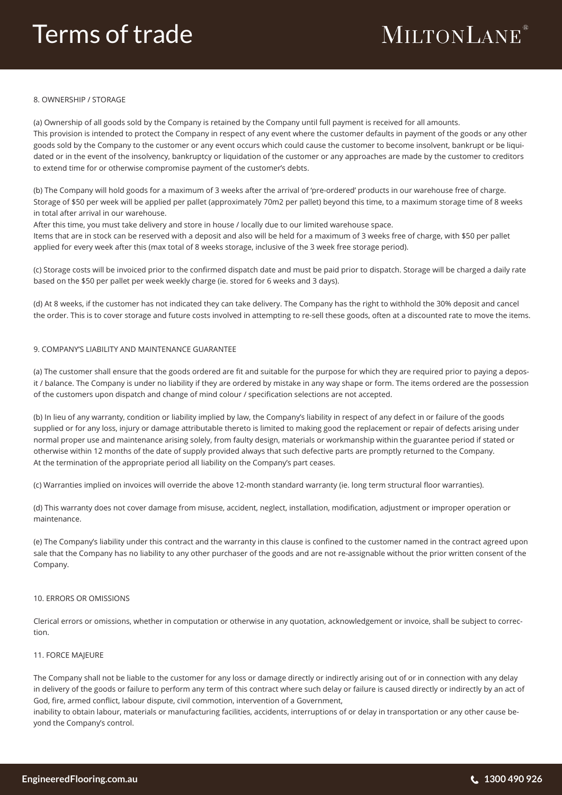### Terms of trade

# **MILTONLANE**®

#### 8. OWNERSHIP / STORAGE

(a) Ownership of all goods sold by the Company is retained by the Company until full payment is received for all amounts. This provision is intended to protect the Company in respect of any event where the customer defaults in payment of the goods or any other goods sold by the Company to the customer or any event occurs which could cause the customer to become insolvent, bankrupt or be liquidated or in the event of the insolvency, bankruptcy or liquidation of the customer or any approaches are made by the customer to creditors to extend time for or otherwise compromise payment of the customer's debts.

(b) The Company will hold goods for a maximum of 3 weeks after the arrival of 'pre-ordered' products in our warehouse free of charge. Storage of \$50 per week will be applied per pallet (approximately 70m2 per pallet) beyond this time, to a maximum storage time of 8 weeks in total after arrival in our warehouse.

After this time, you must take delivery and store in house / locally due to our limited warehouse space.

Items that are in stock can be reserved with a deposit and also will be held for a maximum of 3 weeks free of charge, with \$50 per pallet applied for every week after this (max total of 8 weeks storage, inclusive of the 3 week free storage period).

(c) Storage costs will be invoiced prior to the confirmed dispatch date and must be paid prior to dispatch. Storage will be charged a daily rate based on the \$50 per pallet per week weekly charge (ie. stored for 6 weeks and 3 days).

(d) At 8 weeks, if the customer has not indicated they can take delivery. The Company has the right to withhold the 30% deposit and cancel the order. This is to cover storage and future costs involved in attempting to re-sell these goods, often at a discounted rate to move the items.

#### 9. COMPANY'S LIABILITY AND MAINTENANCE GUARANTEE

(a) The customer shall ensure that the goods ordered are fit and suitable for the purpose for which they are required prior to paying a deposit / balance. The Company is under no liability if they are ordered by mistake in any way shape or form. The items ordered are the possession of the customers upon dispatch and change of mind colour / specification selections are not accepted.

(b) In lieu of any warranty, condition or liability implied by law, the Company's liability in respect of any defect in or failure of the goods supplied or for any loss, injury or damage attributable thereto is limited to making good the replacement or repair of defects arising under normal proper use and maintenance arising solely, from faulty design, materials or workmanship within the guarantee period if stated or otherwise within 12 months of the date of supply provided always that such defective parts are promptly returned to the Company. At the termination of the appropriate period all liability on the Company's part ceases.

(c) Warranties implied on invoices will override the above 12-month standard warranty (ie. long term structural floor warranties).

(d) This warranty does not cover damage from misuse, accident, neglect, installation, modification, adjustment or improper operation or maintenance.

(e) The Company's liability under this contract and the warranty in this clause is confined to the customer named in the contract agreed upon sale that the Company has no liability to any other purchaser of the goods and are not re-assignable without the prior written consent of the Company.

#### 10. ERRORS OR OMISSIONS

Clerical errors or omissions, whether in computation or otherwise in any quotation, acknowledgement or invoice, shall be subject to correction.

#### 11. FORCE MAJEURE

The Company shall not be liable to the customer for any loss or damage directly or indirectly arising out of or in connection with any delay in delivery of the goods or failure to perform any term of this contract where such delay or failure is caused directly or indirectly by an act of God, fire, armed conflict, labour dispute, civil commotion, intervention of a Government,

inability to obtain labour, materials or manufacturing facilities, accidents, interruptions of or delay in transportation or any other cause beyond the Company's control.